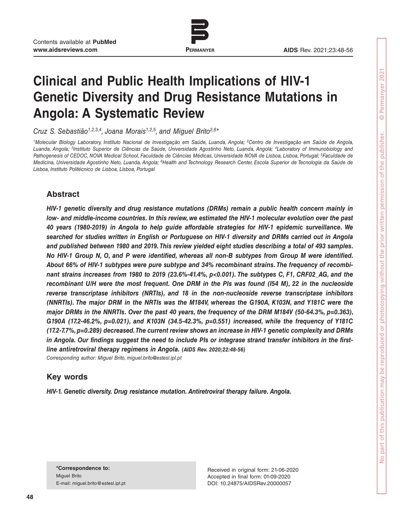

www.permanyer.com

# **Clinical and Public Health Implications of HIV-1 Genetic Diversity and Drug Resistance Mutations in Angola: A Systematic Review**

*Cruz S. Sebastião1,2,3,4, Joana Morais1,2,5, and Miguel Brito2,6\**

*1Molecular Biology Laboratory, Instituto Nacional de Investigação em Saúde, Luanda, Angola; 2Centro de Investigação em Saúde de Angola, Luanda, Angola; 3Instituto Superior de Ciências da Saúde, Universidade Agostinho Neto, Luanda, Angola; 4Laboratory of Immunobiology and*  Pathogenesis of CEDOC, NOVA Medical School, Faculdade de Ciências Médicas, Universidade NOVA de Lisboa, Lisboa, Portugal; <sup>5</sup>Faculdade de *Medicina, Universidade Agostinho Neto, Luanda, Angola; 6Health and Technology Research Center, Escola Superior de Tecnologia da Saúde de Lisboa, Instituto Politécnico de Lisboa, Lisboa, Portugal*

## **Abstract**

*HIV-1 genetic diversity and drug resistance mutations (DRMs) remain a public health concern mainly in low- and middle-income countries. In this review, we estimated the HIV-1 molecular evolution over the past 40 years (1980-2019) in Angola to help guide affordable strategies for HIV-1 epidemic surveillance. We searched for studies written in English or Portuguese on HIV-1 diversity and DRMs carried out in Angola and published between 1980 and 2019. This review yielded eight studies describing a total of 493 samples. No HIV-1 Group N, O, and P were identified, whereas all non-B subtypes from Group M were identified. About 66% of HIV-1 subtypes were pure subtype and 34% recombinant strains. The frequency of recombinant strains increases from 1980 to 2019 (23.6%-41.4%, p<0.001). The subtypes C, F1, CRF02\_AG, and the recombinant U/H were the most frequent. One DRM in the PIs was found (I54 M), 22 in the nucleoside reverse transcriptase inhibitors (NRTIs), and 18 in the non-nucleoside reverse transcriptase inhibitors (NNRTIs). The major DRM in the NRTIs was the M184V, whereas the G190A, K103N, and Y181C were the major DRMs in the NNRTIs. Over the past 40 years, the frequency of the DRM M184V (50-64.3%, p=0.363), G190A (17.2-46.2%, p=0.021), and K103N (34.5-42.3%, p=0.551) increased, while the frequency of Y181C (17.2-7.7%, p=0.289) decreased. The current review shows an increase in HIV-1 genetic complexity and DRMs in Angola. Our findings suggest the need to include PIs or integrase strand transfer inhibitors in the firstline antiretroviral therapy regimens in Angola. (AIDS Rev. 2020;22:48-56) Corresponding author: Miguel Brito, miguel.brito@estesl.ipl.pt*

## **Key words**

*HIV-1. Genetic diversity. Drug resistance mutation. Antiretroviral therapy failure. Angola.*

**\*Correspondence to:** Miguel Brito E-mail: miguel.brito@estesl.ipl.pt

Received in original form: 21-06-2020 Accepted in final form: 01-09-2020 DOI: 10.24875/AIDSRev.20000057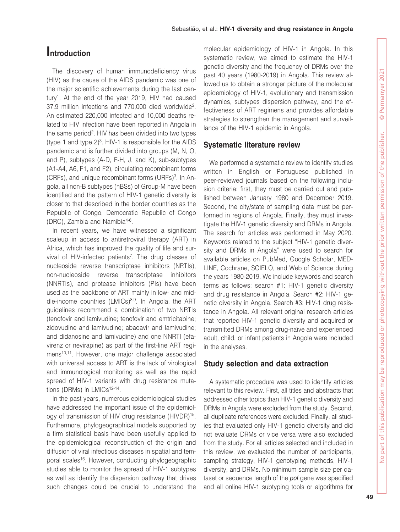## **Introduction**

The discovery of human immunodeficiency virus (HIV) as the cause of the AIDS pandemic was one of the major scientific achievements during the last century<sup>1</sup>. At the end of the year 2019, HIV had caused 37.9 million infections and 770,000 died worldwide2. An estimated 220,000 infected and 10,000 deaths related to HIV infection have been reported in Angola in the same period<sup>2</sup>. HIV has been divided into two types (type 1 and type  $2)^3$ . HIV-1 is responsible for the AIDS pandemic and is further divided into groups (M, N, O, and P), subtypes (A-D, F-H, J, and K), sub-subtypes (A1-A4, A6, F1, and F2), circulating recombinant forms (CRFs), and unique recombinant forms (URFs)<sup>3</sup>. In Angola, all non-B subtypes (nBSs) of Group-M have been identified and the pattern of HIV-1 genetic diversity is closer to that described in the border countries as the Republic of Congo, Democratic Republic of Congo (DRC), Zambia and Namibia4-6.

In recent years, we have witnessed a significant scaleup in access to antiretroviral therapy (ART) in Africa, which has improved the quality of life and survival of HIV-infected patients<sup>7</sup>. The drug classes of nucleoside reverse transcriptase inhibitors (NRTIs), non-nucleoside reverse transcriptase inhibitors (NNRTIs), and protease inhibitors (PIs) have been used as the backbone of ART mainly in low- and middle-income countries  $(LMICs)^{8,9}$ . In Angola, the ART guidelines recommend a combination of two NRTIs (tenofovir and lamivudine; tenofovir and emtricitabine; zidovudine and lamivudine; abacavir and lamivudine; and didanosine and lamivudine) and one NNRTI (efavirenz or nevirapine) as part of the first-line ART regimens<sup>10,11</sup>. However, one major challenge associated with universal access to ART is the lack of virological and immunological monitoring as well as the rapid spread of HIV-1 variants with drug resistance mutations (DRMs) in LMICs<sup>12-14</sup>.

In the past years, numerous epidemiological studies have addressed the important issue of the epidemiology of transmission of HIV drug resistance (HIVDR)15. Furthermore, phylogeographical models supported by a firm statistical basis have been usefully applied to the epidemiological reconstruction of the origin and diffusion of viral infectious diseases in spatial and temporal scales<sup>16</sup>. However, conducting phylogeographic studies able to monitor the spread of HIV-1 subtypes as well as identify the dispersion pathway that drives such changes could be crucial to understand the molecular epidemiology of HIV-1 in Angola. In this systematic review, we aimed to estimate the HIV-1 genetic diversity and the frequency of DRMs over the past 40 years (1980-2019) in Angola. This review allowed us to obtain a stronger picture of the molecular epidemiology of HIV-1, evolutionary and transmission dynamics, subtypes dispersion pathway, and the effectiveness of ART regimens and provides affordable strategies to strengthen the management and surveillance of the HIV-1 epidemic in Angola.

#### **Systematic literature review**

We performed a systematic review to identify studies written in English or Portuguese published in peer-reviewed journals based on the following inclusion criteria: first, they must be carried out and published between January 1980 and December 2019. Second, the city/state of sampling data must be performed in regions of Angola. Finally, they must investigate the HIV-1 genetic diversity and DRMs in Angola. The search for articles was performed in May 2020. Keywords related to the subject "HIV-1 genetic diversity and DRMs in Angola" were used to search for available articles on PubMed, Google Scholar, MED-LINE, Cochrane, SCIELO, and Web of Science during the years 1980-2019. We include keywords and search terms as follows: search #1: HIV-1 genetic diversity and drug resistance in Angola. Search #2: HIV-1 genetic diversity in Angola. Search #3: HIV-1 drug resistance in Angola. All relevant original research articles that reported HIV-1 genetic diversity and acquired or transmitted DRMs among drug-naïve and experienced adult, child, or infant patients in Angola were included in the analyses.

## **Study selection and data extraction**

A systematic procedure was used to identify articles relevant to this review. First, all titles and abstracts that addressed other topics than HIV-1 genetic diversity and DRMs in Angola were excluded from the study. Second, all duplicate references were excluded. Finally, all studies that evaluated only HIV-1 genetic diversity and did not evaluate DRMs or vice versa were also excluded from the study. For all articles selected and included in this review, we evaluated the number of participants, sampling strategy, HIV-1 genotyping methods, HIV-1 diversity, and DRMs. No minimum sample size per dataset or sequence length of the *pol* gene was specified and all online HIV-1 subtyping tools or algorithms for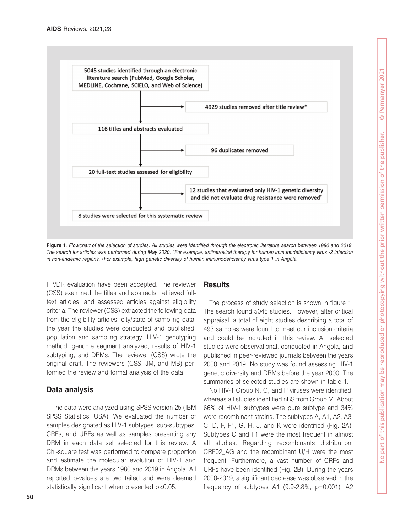

**Figure 1***. Flowchart of the selection of studies. All studies were identified through the electronic literature search between 1980 and 2019. The search for articles was performed during May 2020. \*For example, antiretroviral therapy for human immunodeficiency virus -2 infection in non-endemic regions. †For example, high genetic diversity of human immunodeficiency virus type 1 in Angola.*

HIVDR evaluation have been accepted. The reviewer (CSS) examined the titles and abstracts, retrieved fulltext articles, and assessed articles against eligibility criteria. The reviewer (CSS) extracted the following data from the eligibility articles: city/state of sampling data, the year the studies were conducted and published, population and sampling strategy, HIV-1 genotyping method, genome segment analyzed, results of HIV-1 subtyping, and DRMs. The reviewer (CSS) wrote the original draft. The reviewers (CSS, JM, and MB) performed the review and formal analysis of the data.

## **Data analysis**

The data were analyzed using SPSS version 25 (IBM SPSS Statistics, USA). We evaluated the number of samples designated as HIV-1 subtypes, sub-subtypes, CRFs, and URFs as well as samples presenting any DRM in each data set selected for this review. A Chi-square test was performed to compare proportion and estimate the molecular evolution of HIV-1 and DRMs between the years 1980 and 2019 in Angola. All reported p-values are two tailed and were deemed statistically significant when presented p<0.05.

### **Results**

The process of study selection is shown in figure 1. The search found 5045 studies. However, after critical appraisal, a total of eight studies describing a total of 493 samples were found to meet our inclusion criteria and could be included in this review. All selected studies were observational, conducted in Angola, and published in peer-reviewed journals between the years 2000 and 2019. No study was found assessing HIV-1 genetic diversity and DRMs before the year 2000. The summaries of selected studies are shown in table 1.

No HIV-1 Group N, O, and P viruses were identified, whereas all studies identified nBS from Group M. About 66% of HIV-1 subtypes were pure subtype and 34% were recombinant strains. The subtypes A, A1, A2, A3, C, D, F, F1, G, H, J, and K were identified (Fig. 2A). Subtypes C and F1 were the most frequent in almost all studies. Regarding recombinants distribution, CRF02\_AG and the recombinant U/H were the most frequent. Furthermore, a vast number of CRFs and URFs have been identified (Fig. 2B). During the years 2000-2019, a significant decrease was observed in the frequency of subtypes A1  $(9.9-2.8\% , p=0.001)$ , A2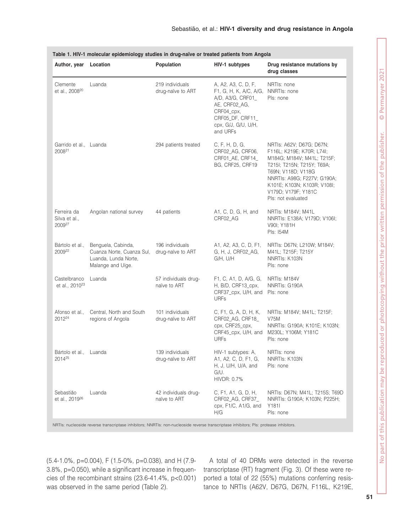| Author, year                                       | Location                                                                                     | Population                           | HIV-1 subtypes                                                                                                                                           | Drug resistance mutations by<br>drug classes                                                                                                                                                                                                       |  |
|----------------------------------------------------|----------------------------------------------------------------------------------------------|--------------------------------------|----------------------------------------------------------------------------------------------------------------------------------------------------------|----------------------------------------------------------------------------------------------------------------------------------------------------------------------------------------------------------------------------------------------------|--|
| Clemente<br>et al., 2008 <sup>20</sup>             | Luanda                                                                                       | 219 individuals<br>drug-naïve to ART | A, A2, A3, C, D, F,<br>F1, G, H, K, A/C, A/G,<br>A/D, A3/G, CRF01_<br>AE, CRF02_AG,<br>CRF04_cpx,<br>CRF05_DF, CRF11_<br>cpx, G/J, G/U, U/H,<br>and URFs | NRTIs: none<br>NNRTIs: none<br>Pls: none                                                                                                                                                                                                           |  |
| Garrido et al., Luanda<br>2008 <sup>21</sup>       |                                                                                              | 294 patients treated                 | C, F, H, D, G,<br>CRF02_AG, CRF06,<br>CRF01_AE, CRF14_<br>BG, CRF25, CRF19                                                                               | NRTIs: A62V; D67G; D67N;<br>F116L; K219E; K70R; L74I;<br>M184G; M184V; M41L; T215F;<br>T215I; T215N; T215Y; T69A;<br>T69N; V118D; V118G<br>NNRTIs: A98G; F227V; G190A;<br>K101E; K103N; K103R; V108I;<br>V179D; V179F; Y181C<br>Pls: not evaluated |  |
| Ferreira da<br>Silva et al.,<br>2009 <sup>27</sup> | Angolan national survey                                                                      | 44 patients                          | A1, C, D, G, H, and<br>CRF02_AG                                                                                                                          | NRTIs: M184V; M41L<br>NNRTIs: E138A; V179D; V106I;<br>V90I; Y181H<br>Pls: I54M                                                                                                                                                                     |  |
| Bártolo et al.,<br>2009 <sup>22</sup>              | Benguela, Cabinda,<br>Cuanza Norte, Cuanza Sul,<br>Luanda, Lunda Norte,<br>Malange and Uíge. | 196 individuals<br>drug-naïve to ART | A1, A2, A3, C, D, F1,<br>G, H, J, CRF02_AG,<br>G/H, U/H                                                                                                  | NRTIs: D67N; L210W; M184V;<br>M41L; T215F; T215Y<br>NNRTIs: K103N<br>Pls: none                                                                                                                                                                     |  |
| Castelbranco<br>et al., 2010 <sup>23</sup>         | Luanda                                                                                       | 57 individuals drug-<br>naïve to ART | F1, C, A1, D, A/G, G,<br>H, B/D, CRF13_cpx,<br>CRF37_cpx, U/H, and<br><b>URFs</b>                                                                        | NRTIs: M184V<br>NNRTIs: G190A<br>Pls: none                                                                                                                                                                                                         |  |
| Afonso et al.,<br>2012 <sup>24</sup>               | Central, North and South<br>regions of Angola                                                | 101 individuals<br>drug-naïve to ART | C, F1, G, A, D, H, K,<br>CRF02_AG, CRF18<br>cpx, CRF25_cpx,<br>CRF45_cpx, U/H, and<br><b>URFs</b>                                                        | NRTIs: M184V; M41L; T215F;<br><b>V75M</b><br>NNRTIs: G190A; K101E; K103N;<br>M230L; Y106M; Y181C<br>Pls: none                                                                                                                                      |  |
| Bártolo et al., Luanda<br>2014 <sup>25</sup>       |                                                                                              | 139 individuals<br>drug-naïve to ART | HIV-1 subtypes: A,<br>A1, A2, C, D, F1, G,<br>H, J, U/H, U/A, and<br>G/U.<br>HIVDR: 0.7%                                                                 | NRTIs: none<br>NNRTIs: K103N<br>Pls: none                                                                                                                                                                                                          |  |
| Sebastião<br>et al., 2019 <sup>26</sup>            | Luanda                                                                                       | 42 individuals drug-<br>naïve to ART | C, F1, A1, G, D, H,<br>CRF02_AG, CRF37_<br>cpx, F1/C, A1/G, and<br>H/G                                                                                   | NRTIs: D67N; M41L; T215S; T69D<br>NNRTIs: G190A; K103N; P225H;<br>Y181I<br>Pls: none                                                                                                                                                               |  |

**Table 1. HIV-1 molecular epidemiology studies in drug-naïve or treated patients from Angola**

NRTIs: nucleoside reverse transcriptase inhibitors; NNRTIs: non-nucleoside reverse transcriptase inhibitors; PIs: protease inhibitors.

(5.4-1.0%, p=0.004), F (1.5-0%, p=0.038), and H (7.9- 3.8%, p=0.050), while a significant increase in frequencies of the recombinant strains (23.6-41.4%, p<0.001) was observed in the same period (Table 2).

A total of 40 DRMs were detected in the reverse transcriptase (RT) fragment (Fig. 3). Of these were reported a total of 22 (55%) mutations conferring resistance to NRTIs (A62V, D67G, D67N, F116L, K219E,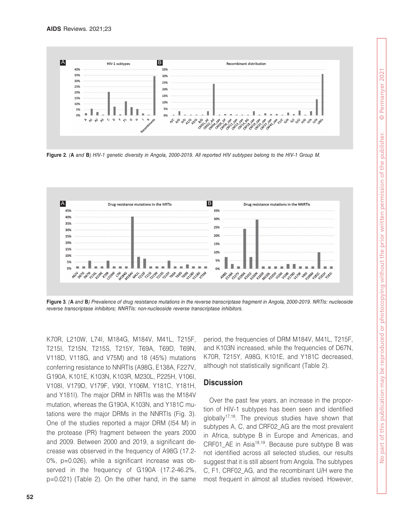

**Figure 2***. (***A** *and* **B***) HIV-1 genetic diversity in Angola, 2000-2019. All reported HIV subtypes belong to the HIV-1 Group M.*



**Figure 3***. (***A** *and* **B***) Prevalence of drug resistance mutations in the reverse transcriptase fragment in Angola, 2000-2019. NRTIs: nucleoside reverse transcriptase inhibitors; NNRTIs: non-nucleoside reverse transcriptase inhibitors.*

K70R, L210W, L74I, M184G, M184V, M41L, T215F, T215I, T215N, T215S, T215Y, T69A, T69D, T69N, V118D, V118G, and V75M) and 18 (45%) mutations conferring resistance to NNRTIs (A98G, E138A, F227V, G190A, K101E, K103N, K103R, M230L, P225H, V106I, V108I, V179D, V179F, V90I, Y106M, Y181C, Y181H, and Y181I). The major DRM in NRTIs was the M184V mutation, whereas the G190A, K103N, and Y181C mutations were the major DRMs in the NNRTIs (Fig. 3). One of the studies reported a major DRM (I54 M) in the protease (PR) fragment between the years 2000 and 2009. Between 2000 and 2019, a significant decrease was observed in the frequency of A98G (17.2- 0%, p=0.026), while a significant increase was observed in the frequency of G190A (17.2-46.2%, p=0.021) (Table 2). On the other hand, in the same period, the frequencies of DRM M184V, M41L, T215F, and K103N increased, while the frequencies of D67N, K70R, T215Y, A98G, K101E, and Y181C decreased, although not statistically significant (Table 2).

### **Discussion**

Over the past few years, an increase in the proportion of HIV-1 subtypes has been seen and identified globally<sup>17,18</sup>. The previous studies have shown that subtypes A, C, and CRF02\_AG are the most prevalent in Africa, subtype B in Europe and Americas, and CRF01 AE in Asia<sup>18,19</sup>. Because pure subtype B was not identified across all selected studies, our results suggest that it is still absent from Angola. The subtypes C, F1, CRF02\_AG, and the recombinant U/H were the most frequent in almost all studies revised. However,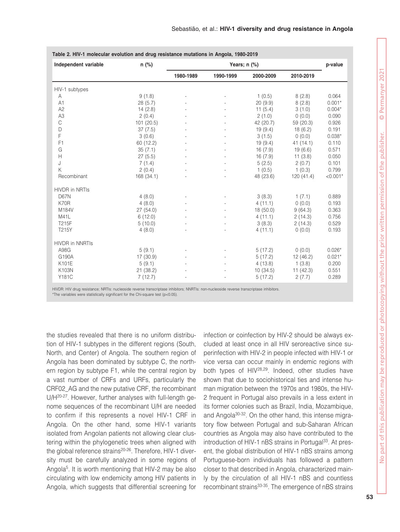| Independent variable   | n (%)      | Years; $n$ $%$ |                          |           |           | p-value    |
|------------------------|------------|----------------|--------------------------|-----------|-----------|------------|
|                        |            | 1980-1989      | 1990-1999                | 2000-2009 | 2010-2019 |            |
| HIV-1 subtypes         |            |                |                          |           |           |            |
| Α                      | 9(1.8)     |                |                          | 1(0.5)    | 8(2.8)    | 0.064      |
| A <sub>1</sub>         | 28(5.7)    |                |                          | 20(9.9)   | 8(2.8)    | $0.001*$   |
| A <sub>2</sub>         | 14(2.8)    |                |                          | 11(5.4)   | 3(1.0)    | $0.004*$   |
| A <sub>3</sub>         | 2(0.4)     |                |                          | 2(1.0)    | 0(0.0)    | 0.090      |
| С                      | 101(20.5)  |                |                          | 42 (20.7) | 59 (20.3) | 0.926      |
| D                      | 37(7.5)    |                |                          | 19(9.4)   | 18(6.2)   | 0.191      |
| F                      | 3(0.6)     |                | $\overline{\phantom{a}}$ | 3(1.5)    | 0(0.0)    | $0.038*$   |
| F <sub>1</sub>         | 60 (12.2)  |                |                          | 19(9.4)   | 41 (14.1) | 0.110      |
| G                      | 35(7.1)    |                |                          | 16(7.9)   | 19(6.6)   | 0.571      |
| $\mathsf{H}$           | 27(5.5)    |                | $\overline{\phantom{a}}$ | 16(7.9)   | 11(3.8)   | 0.050      |
| J                      | 7(1.4)     |                |                          | 5(2.5)    | 2(0.7)    | 0.101      |
| Κ                      | 2(0.4)     |                |                          | 1(0.5)    | 1(0.3)    | 0.799      |
| Recombinant            | 168 (34.1) |                |                          | 48 (23.6) | 120(41.4) | $< 0.001*$ |
| <b>HIVDR</b> in NRTIs  |            |                |                          |           |           |            |
| <b>D67N</b>            | 4(8.0)     |                | $\overline{\phantom{a}}$ | 3(8.3)    | 1(7.1)    | 0.889      |
| K70R                   | 4(8.0)     |                |                          | 4(11.1)   | 0(0.0)    | 0.193      |
| M184V                  | 27(54.0)   |                |                          | 18(50.0)  | 9(64.3)   | 0.363      |
| M41L                   | 6(12.0)    |                |                          | 4(11.1)   | 2(14.3)   | 0.756      |
| T215F                  | 5(10.0)    |                |                          | 3(8.3)    | 2(14.3)   | 0.529      |
| T215Y                  | 4(8.0)     |                |                          | 4(11.1)   | 0(0.0)    | 0.193      |
| <b>HIVDR in NNRTIS</b> |            |                |                          |           |           |            |
| A98G                   | 5(9.1)     |                |                          | 5(17.2)   | 0(0.0)    | $0.026*$   |
| G190A                  | 17 (30.9)  |                |                          | 5(17.2)   | 12 (46.2) | $0.021*$   |
| K101E                  | 5(9.1)     |                |                          | 4(13.8)   | 1(3.8)    | 0.200      |
| K103N                  | 21(38.2)   |                |                          | 10(34.5)  | 11(42.3)  | 0.551      |
| Y181C                  | 7(12.7)    |                |                          | 5(17.2)   | 2(7.7)    | 0.289      |

HIVDR: HIV drug resistance; NRTIs: nucleoside reverse transcriptase inhibitors; NNRTIs: non-nucleoside reverse transcriptase inhibitors.

\*The variables were statistically significant for the Chi-square test (p<0.05).

the studies revealed that there is no uniform distribution of HIV-1 subtypes in the different regions (South, North, and Center) of Angola. The southern region of Angola has been dominated by subtype C, the northern region by subtype F1, while the central region by a vast number of CRFs and URFs, particularly the CRF02\_AG and the new putative CRF, the recombinant U/H20-27. However, further analyses with full-length genome sequences of the recombinant U/H are needed to confirm if this represents a novel HIV-1 CRF in Angola. On the other hand, some HIV-1 variants isolated from Angolan patients not allowing clear clustering within the phylogenetic trees when aligned with the global reference strains<sup>20-26</sup>. Therefore, HIV-1 diversity must be carefully analyzed in some regions of Angola5. It is worth mentioning that HIV-2 may be also circulating with low endemicity among HIV patients in Angola, which suggests that differential screening for

infection or coinfection by HIV-2 should be always excluded at least once in all HIV seroreactive since superinfection with HIV-2 in people infected with HIV-1 or vice versa can occur mainly in endemic regions with both types of HIV28,29. Indeed, other studies have shown that due to sociohistorical ties and intense human migration between the 1970s and 1980s, the HIV-2 frequent in Portugal also prevails in a less extent in its former colonies such as Brazil, India, Mozambique, and Angola30-32. On the other hand, this intense migratory flow between Portugal and sub-Saharan African countries as Angola may also have contributed to the introduction of HIV-1 nBS strains in Portugal<sup>33</sup>. At present, the global distribution of HIV-1 nBS strains among Portuguese-born individuals has followed a pattern closer to that described in Angola, characterized mainly by the circulation of all HIV-1 nBS and countless recombinant strains<sup>33-35</sup>. The emergence of nBS strains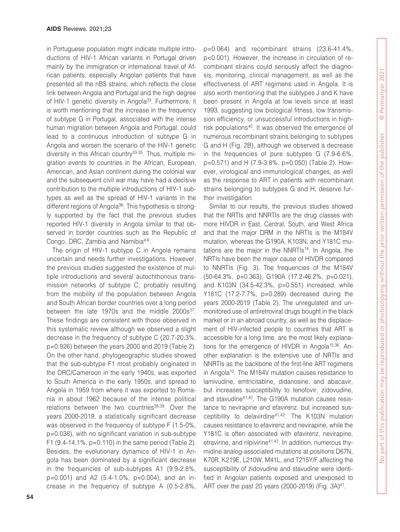in Portuguese population might indicate multiple introductions of HIV-1 African variants in Portugal driven mainly by the immigration or international travel of African patients, especially Angolan patients that have presented all the nBS strains, which reflects the close link between Angola and Portugal and the high degree of HIV-1 genetic diversity in Angola<sup>33</sup>. Furthermore, it is worth mentioning that the increase in the frequency of subtype G in Portugal, associated with the intense human migration between Angola and Portugal, could lead to a continuous introduction of subtype G in Angola and worsen the scenario of the HIV-1 genetic diversity in this African country33-35. Thus, multiple migration events to countries in the African, European, American, and Asian continent during the colonial war and the subsequent civil war may have had a decisive contribution to the multiple introductions of HIV-1 subtypes as well as the spread of HIV-1 variants in the different regions of Angola<sup>36</sup>. This hypothesis is strongly supported by the fact that the previous studies reported HIV-1 diversity in Angola similar to that observed in border countries such as the Republic of Congo, DRC, Zambia and Namibia<sup>4-6</sup>.

The origin of HIV-1 subtype C in Angola remains uncertain and needs further investigations. However, the previous studies suggested the existence of multiple introductions and several autochthonous transmission networks of subtype C, probably resulting from the mobility of the population between Angola and South African border countries over a long period between the late 1970s and the middle  $2000s^{37}$ . These findings are consistent with those observed in this systematic review although we observed a slight decrease in the frequency of subtype C (20.7-20.3%, p=0.926) between the years 2000 and 2019 (Table 2). On the other hand, phylogeographic studies showed that the sub-subtype F1 most probably originated in the DRC/Cameroon in the early 1940s, was exported to South America in the early 1950s, and spread to Angola in 1959 from where it was exported to Romania in about 1962 because of the intense political relations between the two countries<sup>38,39</sup>. Over the years 2000-2019, a statistically significant decrease was observed in the frequency of subtype F (1.5-0%, p=0.038), with no significant variation in sub-subtype F1 (9.4-14.1%, p=0.110) in the same period (Table 2). Besides, the evolutionary dynamics of HIV-1 in Angola has been dominated by a significant decrease in the frequencies of sub-subtypes A1 (9.9-2.8%, p=0.001) and A2 (5.4-1.0%, p=0.004), and an increase in the frequency of subtype A (0.5-2.8%,

p=0.064) and recombinant strains (23.6-41.4%, p<0.001). However, the increase in circulation of recombinant strains could seriously affect the diagnosis, monitoring, clinical management, as well as the effectiveness of ART regimens used in Angola. It is also worth mentioning that the subtypes J and K have been present in Angola at low levels since at least 1993, suggesting low biological fitness, low transmission efficiency, or unsuccessful introductions in highrisk populations<sup>40</sup>. It was observed the emergence of numerous recombinant strains belonging to subtypes G and H (Fig. 2B), although we observed a decrease in the frequencies of pure subtypes G (7.9-6.6%, p=0.571) and H (7.9-3.8%, p=0.050) (Table 2). However, virological and immunological changes, as well as the response to ART in patients with recombinant strains belonging to subtypes G and H, deserve further investigation.

Similar to our results, the previous studies showed that the NRTIs and NNRTIs are the drug classes with more HIVDR in East, Central, South, and West Africa and that the major DRM in the NRTIs is the M184V mutation, whereas the G190A, K103N, and Y181C mutations are the major in the NNRTIs<sup>14</sup>. In Angola, the NRTIs have been the major cause of HIVDR compared to NNRTIs (Fig. 3). The frequencies of the M184V (50-64.3%, p=0.363), G190A (17.2-46.2%, p=0.021), and K103N (34.5-42.3%, p=0.551) increased, while Y181C (17.2-7.7%, p=0.289) decreased during the years 2000-2019 (Table 2). The unregulated and unmonitored use of antiretroviral drugs bought in the black market or in an abroad country, as well as the displacement of HIV-infected people to countries that ART is accessible for a long time, are the most likely explanations for the emergence of HIVDR in Angola<sup>15,36</sup>. Another explanation is the extensive use of NRTIs and NNRTIs as the backbone of the first-line ART regimens in Angola<sup>10</sup>. The M184V mutation causes resistance to lamivudine, emtricitabine, didanosine, and abacavir, but increases susceptibility to tenofovir, zidovudine, and stavudine41,42. The G190A mutation causes resistance to nevirapine and efavirenz, but increased susceptibility to delavirdine41,42. The K103N mutation causes resistance to efavirenz and nevirapine, while the Y181C is often associated with efavirenz, nevirapine, etravirine, and rilpivirine<sup>41,42</sup>. In addition, numerous thymidine analog-associated mutations at positions D67N, K70R, K219E, L210W, M41L, and T215Y/F affecting the susceptibility of zidovudine and stavudine were identified in Angolan patients exposed and unexposed to ART over the past 20 years (2000-2019) (Fig.  $3A)^{41}$ .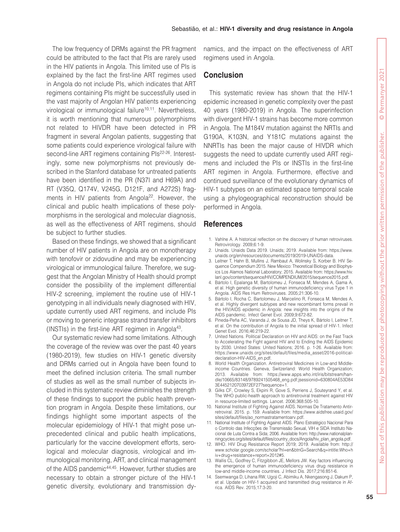The low frequency of DRMs against the PR fragment could be attributed to the fact that PIs are rarely used in the HIV patients in Angola. This limited use of PIs is explained by the fact the first-line ART regimes used in Angola do not include PIs, which indicates that ART regimens containing PIs might be successfully used in the vast majority of Angolan HIV patients experiencing virological or immunological failure<sup>10,11</sup>. Nevertheless, it is worth mentioning that numerous polymorphisms not related to HIVDR have been detected in PR fragment in several Angolan patients, suggesting that some patients could experience virological failure with second-line ART regimens containing PIs<sup>22-26</sup>. Interestingly, some new polymorphisms not previously described in the Stanford database for untreated patients have been identified in the PR (N37I and H69A) and RT (V35Q, Q174V, V245G, D121F, and A272S) fragments in HIV patients from Angola<sup>22</sup>. However, the clinical and public health implications of these polymorphisms in the serological and molecular diagnosis, as well as the effectiveness of ART regimens, should be subject to further studies.

Based on these findings, we showed that a significant number of HIV patients in Angola are on monotherapy with tenofovir or zidovudine and may be experiencing virological or immunological failure. Therefore, we suggest that the Angolan Ministry of Health should prompt consider the possibility of the implement differential HIV-2 screening, implement the routine use of HIV-1 genotyping in all individuals newly diagnosed with HIV, update currently used ART regimens, and include PIs or moving to generic integrase strand transfer inhibitors (INSTIs) in the first-line ART regimen in Angola $43$ .

Our systematic review had some limitations. Although the coverage of the review was over the past 40 years (1980-2019), few studies on HIV-1 genetic diversity and DRMs carried out in Angola have been found to meet the defined inclusion criteria. The small number of studies as well as the small number of subjects included in this systematic review diminishes the strength of these findings to support the public health prevention program in Angola. Despite these limitations, our findings highlight some important aspects of the molecular epidemiology of HIV-1 that might pose unprecedented clinical and public health implications, particularly for the vaccine development efforts, serological and molecular diagnosis, virological and immunological monitoring, ART, and clinical management of the AIDS pandemic<sup>44,45</sup>. However, further studies are necessary to obtain a stronger picture of the HIV-1 genetic diversity, evolutionary and transmission dy-

namics, and the impact on the effectiveness of ART regimens used in Angola.

#### **Conclusion**

This systematic review has shown that the HIV-1 epidemic increased in genetic complexity over the past 40 years (1980-2019) in Angola. The superinfection with divergent HIV-1 strains has become more common in Angola. The M184V mutation against the NRTIs and G190A, K103N, and Y181C mutations against the NNRTIs has been the major cause of HIVDR which suggests the need to update currently used ART regimens and included the PIs or INSTIs in the first-line ART regimen in Angola. Furthermore, effective and continued surveillance of the evolutionary dynamics of HIV-1 subtypes on an estimated space temporal scale using a phylogeographical reconstruction should be performed in Angola.

#### **References**

- 1. Vahlne A. A historical reflection on the discovery of human retroviruses. Retrovirology. 2009;6:1-9.
- 2. Unaids. Unaids Data 2019. Unaids; 2019. Available from: https://www. unaids.org/en/resources/documents/2019/2019-UNAIDS-data.
- 3. Leitner T, Hahn B, Mullins J, Rambaut A, Wolinsky S, Korber B. HIV Sequence Compendium 2015. New Mexico: Theoretical Biology and Biophysics Los Alamos National Laboratory; 2015. Available from: https://www.hiv. lanl.gov/content/sequence/HIV/COMPENDIUM/2015/sequence2015.pdf.
- 4. Bártolo I, Epalanga M, Bartolomeu J, Fonseca M, Mendes A, Gama A, et al. High genetic diversity of human immunodeficiency virus Type 1 in Angola. AIDS Res Hum Retroviruses. 2005;21:306-10.
- 5. Bártolo I, Rocha C, Bartolomeu J, Marcelino R, Fonseca M, Mendes A, et al. Highly divergent subtypes and new recombinant forms prevail in the HIV/AIDS epidemic in Angola: new insights into the origins of the AIDS pandemic. Infect Genet Evol. 2009;9:672-82.
- 6. Pineda-Peña AC, Varanda J, de Sousa JD, Theys K, Bártolo I, Leitner T, et al. On the contribution of Angola to the initial spread of HIV-1. Infect Genet Evol. 2016;46:219-22.
- 7. United Nations. Political Declaration on HIV and AIDS: on the Fast Track to Accelerating the Fight against HIV and to Ending the AIDS Epidemic by 2030. United States: United Nations; 2016. p. 1-26. Available from: https://www.unaids.org/sites/default/files/media\_asset/2016-politicaldeclaration-HIV-AIDS\_en.pdf.
- 8. World Health Organization. Antiretroviral Medicines in Low-and Middleincome Countries. Geneva, Switzerland: World Health Organization; 2013. Available from: https://www.apps.who.int/iris/bitstream/handle/10665/83148/9789241505468\_eng.pdf;jsessionid=630804AE53D84 3E4452120703972EF27?sequence=1.
- 9. Gilks CF, Crowley S, Ekpini R, Gove S, Perriens J, Souteyrand Y, et al. The WHO public-health approach to antiretroviral treatment against HIV in resource-limited settings. Lancet. 2006;368:505-10.
- 10. National Institute of Fighting Against AIDS. Normas De Tratamento Antirretroviral. 2015. p. 159. Available from: https://www.aidsfree.usaid.gov/ sites/default/files/ao\_normastratamentoarv.pdf.
- 11. National Institute of Fighting Against AIDS. Plano Estratégico Nacional Para o Controlo das Infecções de Transmissão Sexual, VIH e SIDA Instituto Nacional de Luta Contra a Sida; 2006. Available from: http://www.nationalplanningcycles.org/sites/default/files/country\_docs/Angola/hiv\_plan\_angola.pdf.
- 12. WHO. HIV Drug Resistance Report 2019; 2019. Available from: http:// www.scholar.google.com/scholar?hl=en&btnG=Search&q=intitle:Who+h iv+drug+resistance+report+2012#5.
- 13. Wallis CL, Godfrey C, Fitzgibbon JE, Mellors JW. Key factors influencing the emergence of human immunodeficiency virus drug resistance in low-and middle-income countries. J Infect Dis. 2017;216:851-6.
- 14. Ssemwanga D, Lihana RW, Ugoji C, Abimiku A, Nkengasong J, Dakum P, et al. Update on HIV-1 acquired and transmitted drug resistance in Africa. AIDS Rev. 2015;17:3-20.